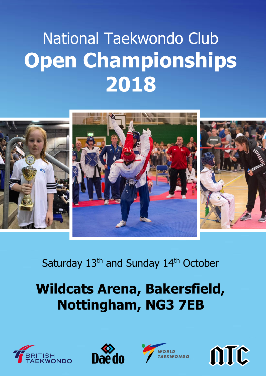## National Taekwondo Club **Open Championships 2018**



### Saturday 13<sup>th</sup> and Sunday 14<sup>th</sup> October

## **Wildcats Arena, Bakersfield, Nottingham, NG3 7EB**







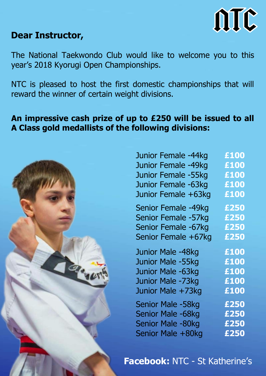

#### **Dear Instructor,**

The National Taekwondo Club would like to welcome you to this year's 2018 Kyorugi Open Championships.

NTC is pleased to host the first domestic championships that will reward the winner of certain weight divisions.

#### **An impressive cash prize of up to £250 will be issued to all A Class gold medallists of the following divisions:**



| Junior Female -44kg | £100 |
|---------------------|------|
| Junior Female -49kg | £100 |
| Junior Female -55kg | £100 |
| Junior Female -63kg | £100 |
| Junior Female +63kg | £100 |
| Senior Female -49kg | £250 |
| Senior Female -57kg | £250 |
| Senior Female -67kg | £250 |
| Senior Female +67kg | £250 |
| Junior Male -48kg   | £100 |
| Junior Male -55kg   | £100 |
| Junior Male -63kg   | £100 |
| Junior Male -73kg   | £100 |
| Junior Male +73kg   | £100 |
| Senior Male -58kg   | £250 |
| Senior Male -68kg   | £250 |
| Senior Male -80kg   | £250 |
| Senior Male +80kg   | £250 |
|                     |      |

#### **Facebook:** NTC - St Katherine's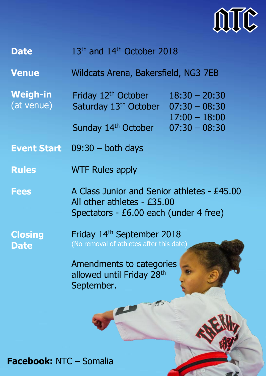

| <b>Date</b> | 13 <sup>th</sup> and 14 <sup>th</sup> October 2018 |
|-------------|----------------------------------------------------|
|             |                                                    |

**Venue** Wildcats Arena, Bakersfield, NG3 7EB

**Weigh-in** (at venue) Friday 12<sup>th</sup> October Saturday 13<sup>th</sup> October Sunday 14<sup>th</sup> October 18:30 – 20:30 07:30 – 08:30 17:00 – 18:00 07:30 – 08:30

**Event Start**  09:30 – both days

- **Rules**  WTF Rules apply
- **Fees** A Class Junior and Senior athletes - £45.00 All other athletes - £35.00 Spectators - £6.00 each (under 4 free)

**Closing Date**

Friday 14th September 2018 (No removal of athletes after this date)

Amendments to categories allowed until Friday 28<sup>th</sup> September.

#### **Facebook:** NTC – Somalia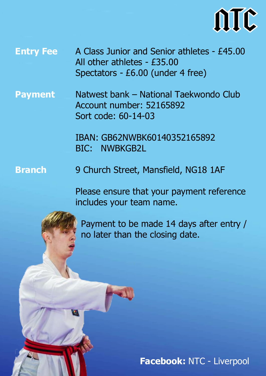

**Entry Fee** A Class Junior and Senior athletes - £45.00 All other athletes - £35.00 Spectators - £6.00 (under 4 free)

**Payment** Natwest bank – National Taekwondo Club Account number: 52165892 Sort code: 60-14-03

> IBAN: GB62NWBK60140352165892 BIC: NWBKGB2L

**Branch** 9 Church Street, Mansfield, NG18 1AF

> Please ensure that your payment reference includes your team name.

 Payment to be made 14 days after entry / no later than the closing date.

**Facebook:** NTC - Liverpool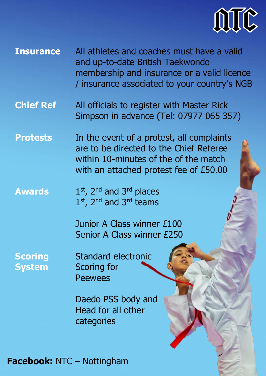

- **Insurance** All athletes and coaches must have a valid and up-to-date British Taekwondo membership and insurance or a valid licence / insurance associated to your country's NGB
- **Chief Ref** All officials to register with Master Rick Simpson in advance (Tel: 07977 065 357)
- **Protests** In the event of a protest, all complaints are to be directed to the Chief Referee within 10-minutes of the of the match with an attached protest fee of £50.00
- **Awards** 1<sup>st</sup>, 2<sup>nd</sup> and 3<sup>rd</sup> places 1<sup>st</sup>, 2<sup>nd</sup> and 3<sup>rd</sup> teams
	- Junior A Class winner £100 Senior A Class winner £250

**Scoring System** 

Standard electronic Scoring for **Peewees** 

Daedo PSS body and Head for all other categories

#### **Facebook:** NTC – Nottingham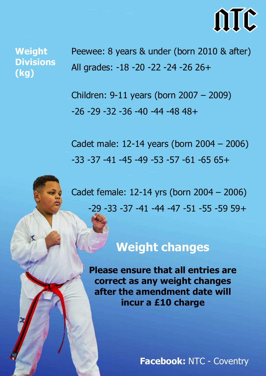

**Weight Divisions (kg)**

Peewee: 8 years & under (born 2010 & after) All grades: -18 -20 -22 -24 -26 26+

Children: 9-11 years (born 2007 – 2009) -26 -29 -32 -36 -40 -44 -48 48+

Cadet male: 12-14 years (born 2004 – 2006) -33 -37 -41 -45 -49 -53 -57 -61 -65 65+

Cadet female: 12-14 yrs (born 2004 – 2006) -29 -33 -37 -41 -44 -47 -51 -55 -59 59+

## **Weight changes**

**Please ensure that all entries are correct as any weight changes after the amendment date will incur a £10 charge**

**Facebook:** NTC - Coventry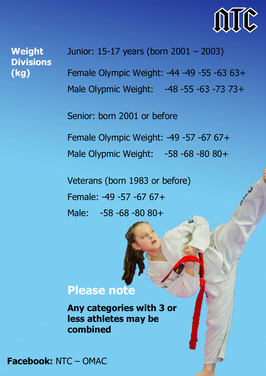

**Weight Divisions (kg)**

Junior: 15-17 years (born 2001 – 2003) Female Olympic Weight: -44 -49 -55 -63 63+ Male Olypmic Weight: -48 -55 -63 -73 73+

Senior: born 2001 or before

Female Olympic Weight: -49 -57 -67 67+ Male Olypmic Weight: -58 -68 -80 80+

Veterans (born 1983 or before) Female: -49 -57 -67 67+ Male: -58 -68 -80 80+

#### **Please note**

**Any categories with 3 or less athletes may be combined**

**Facebook:** NTC – OMAC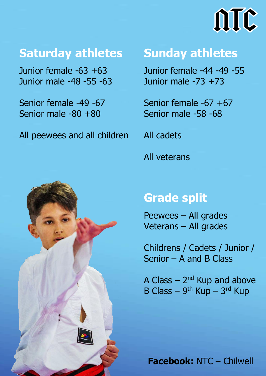# ATC

## **Saturday athletes**

Junior female -63 +63 Junior male -48 -55 -63

Senior female -49 -67 Senior male -80 +80

All peewees and all children



## **Sunday athletes**

Junior female -44 -49 -55 Junior male -73 +73

Senior female -67 +67 Senior male -58 -68

All cadets

All veterans

## **Grade split**

Peewees – All grades Veterans – All grades

Childrens / Cadets / Junior / Senior – A and B Class

A Class  $-2^{nd}$  Kup and above B Class –  $9^{th}$  Kup –  $3^{rd}$  Kup

**Facebook:** NTC – Chilwell